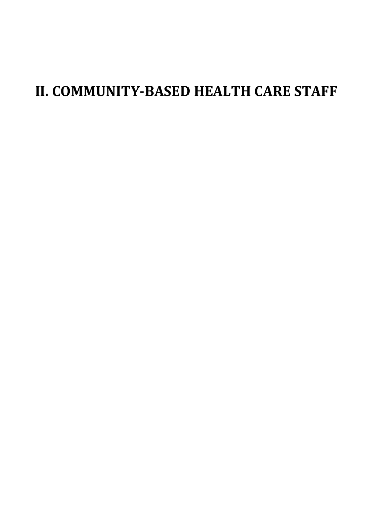# **II. COMMUNITY-BASED HEALTH CARE STAFF**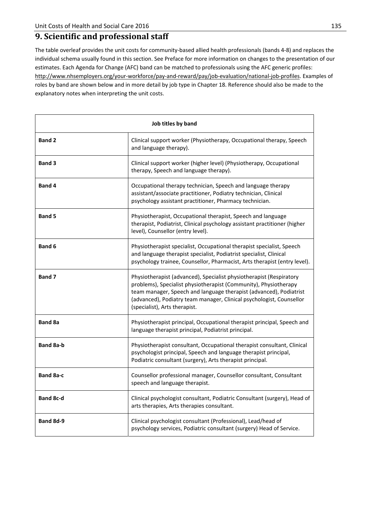### **9. Scientific and professional staff**

The table overleaf provides the unit costs for community-based allied health professionals (bands 4-8) and replaces the individual schema usually found in this section. See Preface for more information on changes to the presentation of our estimates. Each Agenda for Change (AFC) band can be matched to professionals using the AFC generic profiles: http://www.nhsemployers.org/your-workforce/pay-and-reward/pay/job-evaluation/national-job-profiles. Examples of roles by band are shown below and in more detail by job type in Chapter 18. Reference should also be made to the explanatory notes when interpreting the unit costs.

| Job titles by band |                                                                                                                                                                                                                                                                                                                        |  |  |  |
|--------------------|------------------------------------------------------------------------------------------------------------------------------------------------------------------------------------------------------------------------------------------------------------------------------------------------------------------------|--|--|--|
| <b>Band 2</b>      | Clinical support worker (Physiotherapy, Occupational therapy, Speech<br>and language therapy).                                                                                                                                                                                                                         |  |  |  |
| <b>Band 3</b>      | Clinical support worker (higher level) (Physiotherapy, Occupational<br>therapy, Speech and language therapy).                                                                                                                                                                                                          |  |  |  |
| <b>Band 4</b>      | Occupational therapy technician, Speech and language therapy<br>assistant/associate practitioner, Podiatry technician, Clinical<br>psychology assistant practitioner, Pharmacy technician.                                                                                                                             |  |  |  |
| <b>Band 5</b>      | Physiotherapist, Occupational therapist, Speech and language<br>therapist, Podiatrist, Clinical psychology assistant practitioner (higher<br>level), Counsellor (entry level).                                                                                                                                         |  |  |  |
| <b>Band 6</b>      | Physiotherapist specialist, Occupational therapist specialist, Speech<br>and language therapist specialist, Podiatrist specialist, Clinical<br>psychology trainee, Counsellor, Pharmacist, Arts therapist (entry level).                                                                                               |  |  |  |
| <b>Band 7</b>      | Physiotherapist (advanced), Specialist physiotherapist (Respiratory<br>problems), Specialist physiotherapist (Community), Physiotherapy<br>team manager, Speech and language therapist (advanced), Podiatrist<br>(advanced), Podiatry team manager, Clinical psychologist, Counsellor<br>(specialist), Arts therapist. |  |  |  |
| <b>Band 8a</b>     | Physiotherapist principal, Occupational therapist principal, Speech and<br>language therapist principal, Podiatrist principal.                                                                                                                                                                                         |  |  |  |
| <b>Band 8a-b</b>   | Physiotherapist consultant, Occupational therapist consultant, Clinical<br>psychologist principal, Speech and language therapist principal,<br>Podiatric consultant (surgery), Arts therapist principal.                                                                                                               |  |  |  |
| <b>Band 8a-c</b>   | Counsellor professional manager, Counsellor consultant, Consultant<br>speech and language therapist.                                                                                                                                                                                                                   |  |  |  |
| <b>Band 8c-d</b>   | Clinical psychologist consultant, Podiatric Consultant (surgery), Head of<br>arts therapies, Arts therapies consultant.                                                                                                                                                                                                |  |  |  |
| Band 8d-9          | Clinical psychologist consultant (Professional), Lead/head of<br>psychology services, Podiatric consultant (surgery) Head of Service.                                                                                                                                                                                  |  |  |  |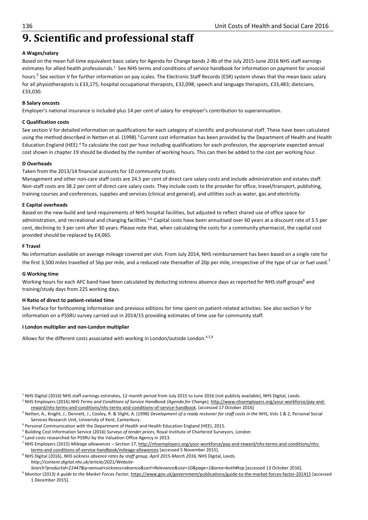# **9. Scientific and professional staff**

#### **A Wages/salary**

Based on the mean full-time equivalent basic salary for Agenda for Change bands 2-8b of the July 2015-June 2016 NHS staff earnings estimates for allied health professionals.<sup>1</sup> See NHS terms and conditions of service handbook for information on payment for unsocial hours.<sup>2</sup> See section V for further information on pay scales. The Electronic Staff Records (ESR) system shows that the mean basic salary for all physiotherapists is £33,175; hospital occupational therapists, £32,098; speech and language therapists, £33,483; dieticians, £33,030.

#### **B Salary oncosts**

Employer's national insurance is included plus 14 per cent of salary for employer's contribution to superannuation.

#### **C Qualification costs**

See section V for detailed information on qualifications for each category of scientific and professional staff. These have been calculated using the method described in Netten et al. (1998).<sup>3</sup> Current cost information has been provided by the Department of Health and Health Education England (HEE).4 To calculate the cost per hour including qualifications for each profession, the appropriate expected annual cost shown in chapter 19 should be divided by the number of working hours. This can then be added to the cost per working hour.

#### **D Overheads**

#### Taken from the 2013/14 financial accounts for 10 community trusts.

Management and other non-care staff costs are 24.5 per cent of direct care salary costs and include administration and estates staff. Non-staff costs are 38.2 per cent of direct care salary costs. They include costs to the provider for office, travel/transport, publishing, training courses and conferences, supplies and services (clinical and general), and utilities such as water, gas and electricity.

#### **E Capital overheads**

Based on the new-build and land requirements of NHS hospital facilities, but adjusted to reflect shared use of office space for administration, and recreational and changing facilities.<sup>5,6</sup> Capital costs have been annuitised over 60 years at a discount rate of 3.5 per cent, declining to 3 per cent after 30 years. Please note that, when calculating the costs for a community pharmacist, the capital cost provided should be replaced by £4,065.

#### **F Travel**

No information available on average mileage covered per visit. From July 2014, NHS reimbursement has been based on a single rate for the first 3,500 miles travelled of 56p per mile, and a reduced rate thereafter of 20p per mile, irrespective of the type of car or fuel used.<sup>7</sup>

#### **G Working time**

Working hours for each AFC band have been calculated by deducting sickness absence days as reported for NHS staff groups<sup>8</sup> and training/study days from 225 working days.

#### **H Ratio of direct to patient-related time**

See Preface for forthcoming information and previous editions for time spent on patient-related activities. See also section V for information on a PSSRU survey carried out in 2014/15 providing estimates of time use for community staff.

#### **I London multiplier and non-London multiplier**

Allows for the different costs associated with working in London/outside London.<sup>4,5,9</sup>

<sup>1</sup> NHS Digital (2016) NHS staff earnings estimates, 12-month period from July 2015 to June 2016 (not publicly available), NHS Digital, Leeds.

- 2 NHS Employers (2016) *NHS Terms and Conditions of Service Handbook (Agenda for Change)*, http://www.nhsemployers.org/your-workforce/pay-andreward/nhs-terms-and-conditions/nhs-terms-and-conditions-of-service-handbook. [accessed 17 October 2016] 3
- <sup>3</sup> Netten, A., Knight, J., Dennett, J., Cooley, R. & Slight, A. (1998) *Development of a ready reckoner for staff costs in the NHS*, Vols 1 & 2, Personal Social Services Research Unit, University of Kent, Canterbury.<br>4 Dersonal Communication with the Denartment of Health a
- <sup>4</sup> Personal Communication with the Department of Health and Health Education England (HEE), 2015.<br><sup>5</sup> Building Cost Information Service (2016) Surveys of tender prices. Boyal Institute of Chartered Survey
- <sup>5</sup> Building Cost Information Service (2016) *Surveys of tender prices*, Royal Institute of Chartered Surveyors, London
- Land costs researched for PSSRU by the Valuation Office Agency in 2013.
- 7 NHS Employers (2015) *Mileage allowances Section 17*, http://nhsemployers.org/your-workforce/pay-and-reward/nhs-terms-and-conditions/nhsterms-and-conditions-of-service-handbook/mileage-allowances [accessed 5 November 2015]. 8
- <sup>8</sup> NHS Digital (2016), *NHS sickness absence rates by staff group, April 2015-March 2016*, NHS Digital, Leeds. *http://content.digital.nhs.uk/article/2021/Website-*

*Search?productid=21447&q=annual+sickness+absence&sort=Relevance&size=10&page=1&area=both#top* [accessed 13 October 2016]. 9

 Monitor (2013) *A guide to the Market Forces Factor*, https://www.gov.uk/government/publications/guide-to-the-market-forces-factor-201415 [accessed 1 December 2015].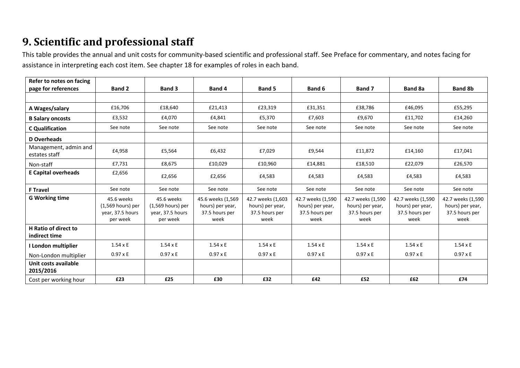# **9. Scientific and professional staff**

This table provides the annual and unit costs for community-based scientific and professional staff. See Preface for commentary, and notes facing for assistance in interpreting each cost item. See chapter 18 for examples of roles in each band.

| Refer to notes on facing                     |                                                                 |                                                                   |                                                                 |                                                                 |                                                                 |                                                                 |                                                                 |                                                                 |
|----------------------------------------------|-----------------------------------------------------------------|-------------------------------------------------------------------|-----------------------------------------------------------------|-----------------------------------------------------------------|-----------------------------------------------------------------|-----------------------------------------------------------------|-----------------------------------------------------------------|-----------------------------------------------------------------|
| page for references                          | <b>Band 2</b>                                                   | <b>Band 3</b>                                                     | Band 4                                                          | <b>Band 5</b>                                                   | Band 6                                                          | Band 7                                                          | Band 8a                                                         | <b>Band 8b</b>                                                  |
|                                              |                                                                 |                                                                   |                                                                 |                                                                 |                                                                 |                                                                 |                                                                 |                                                                 |
| A Wages/salary                               | £16,706                                                         | £18,640                                                           | £21,413                                                         | £23,319                                                         | £31,351                                                         | £38,786                                                         | £46,095                                                         | £55,295                                                         |
| <b>B Salary oncosts</b>                      | £3,532                                                          | £4,070                                                            | £4,841                                                          | £5,370                                                          | £7,603                                                          | £9,670                                                          | £11,702                                                         | £14,260                                                         |
| <b>C</b> Qualification                       | See note                                                        | See note                                                          | See note                                                        | See note                                                        | See note                                                        | See note                                                        | See note                                                        | See note                                                        |
| D Overheads                                  |                                                                 |                                                                   |                                                                 |                                                                 |                                                                 |                                                                 |                                                                 |                                                                 |
| Management, admin and<br>estates staff       | £4,958                                                          | £5,564                                                            | £6,432                                                          | £7,029                                                          | £9,544                                                          | £11,872                                                         | £14,160                                                         | £17,041                                                         |
| Non-staff                                    | £7,731                                                          | £8,675                                                            | £10,029                                                         | £10,960                                                         | £14,881                                                         | £18,510                                                         | £22,079                                                         | £26,570                                                         |
| <b>E Capital overheads</b>                   | £2,656                                                          | £2,656                                                            | £2,656                                                          | £4,583                                                          | £4,583                                                          | £4,583                                                          | £4,583                                                          | £4,583                                                          |
| <b>F</b> Travel                              | See note                                                        | See note                                                          | See note                                                        | See note                                                        | See note                                                        | See note                                                        | See note                                                        | See note                                                        |
| <b>G Working time</b>                        | 45.6 weeks<br>(1,569 hours) per<br>year, 37.5 hours<br>per week | 45.6 weeks<br>$(1,569$ hours) per<br>year, 37.5 hours<br>per week | 45.6 weeks (1,569<br>hours) per year,<br>37.5 hours per<br>week | 42.7 weeks (1,603<br>hours) per year,<br>37.5 hours per<br>week | 42.7 weeks (1,590<br>hours) per year,<br>37.5 hours per<br>week | 42.7 weeks (1,590<br>hours) per year,<br>37.5 hours per<br>week | 42.7 weeks (1,590<br>hours) per year,<br>37.5 hours per<br>week | 42.7 weeks (1,590<br>hours) per year,<br>37.5 hours per<br>week |
| <b>H</b> Ratio of direct to<br>indirect time |                                                                 |                                                                   |                                                                 |                                                                 |                                                                 |                                                                 |                                                                 |                                                                 |
| I London multiplier                          | $1.54 \times E$                                                 | $1.54 \times E$                                                   | $1.54 \times E$                                                 | $1.54 \times E$                                                 | $1.54 \times E$                                                 | $1.54 \times E$                                                 | $1.54 \times E$                                                 | $1.54 \times E$                                                 |
| Non-London multiplier                        | $0.97 \times E$                                                 | $0.97 \times E$                                                   | $0.97 \times E$                                                 | $0.97 \times E$                                                 | $0.97 \times E$                                                 | $0.97 \times E$                                                 | $0.97 \times E$                                                 | $0.97 \times E$                                                 |
| Unit costs available<br>2015/2016            |                                                                 |                                                                   |                                                                 |                                                                 |                                                                 |                                                                 |                                                                 |                                                                 |
| Cost per working hour                        | £23                                                             | £25                                                               | £30                                                             | £32                                                             | £42                                                             | £52                                                             | £62                                                             | £74                                                             |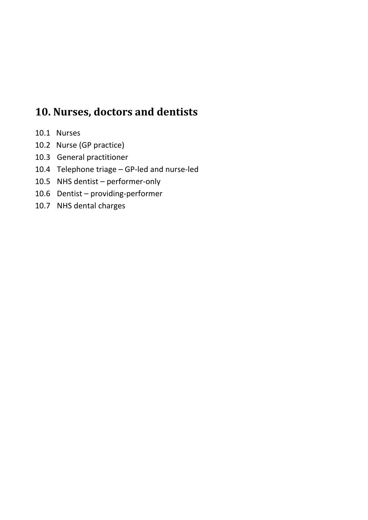# **10. Nurses, doctors and dentists**

- 10.1 Nurses
- 10.2 Nurse (GP practice)
- 10.3 General practitioner
- 10.4 Telephone triage GP-led and nurse-led
- 10.5 NHS dentist performer-only
- 10.6 Dentist providing-performer
- 10.7 NHS dental charges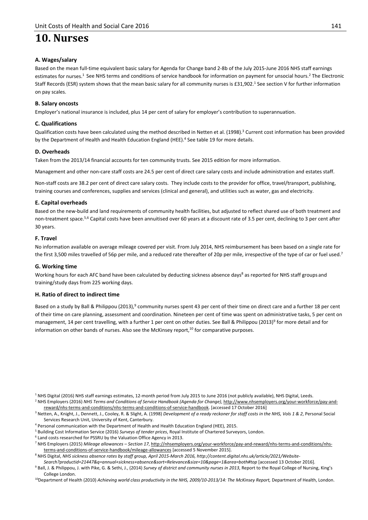# **10. Nurses**

#### **A. Wages/salary**

Based on the mean full-time equivalent basic salary for Agenda for Change band 2-8b of the July 2015-June 2016 NHS staff earnings estimates for nurses.<sup>1</sup> See NHS terms and conditions of service handbook for information on payment for unsocial hours.<sup>2</sup> The Electronic Staff Records (ESR) system shows that the mean basic salary for all community nurses is £31,902.<sup>1</sup> See section V for further information on pay scales.

#### **B. Salary oncosts**

Employer's national insurance is included, plus 14 per cent of salary for employer's contribution to superannuation.

#### **C. Qualifications**

Qualification costs have been calculated using the method described in Netten et al. (1998).<sup>3</sup> Current cost information has been provided by the Department of Health and Health Education England (HEE).<sup>4</sup> See table 19 for more details.

#### **D. Overheads**

Taken from the 2013/14 financial accounts for ten community trusts. See 2015 edition for more information.

Management and other non-care staff costs are 24.5 per cent of direct care salary costs and include administration and estates staff.

Non-staff costs are 38.2 per cent of direct care salary costs. They include costs to the provider for office, travel/transport, publishing, training courses and conferences, supplies and services (clinical and general), and utilities such as water, gas and electricity.

#### **E. Capital overheads**

Based on the new-build and land requirements of community health facilities, but adjusted to reflect shared use of both treatment and non-treatment space.<sup>5,6</sup> Capital costs have been annuitised over 60 years at a discount rate of 3.5 per cent, declining to 3 per cent after 30 years.

#### **F. Travel**

No information available on average mileage covered per visit. From July 2014, NHS reimbursement has been based on a single rate for the first 3,500 miles travelled of 56p per mile, and a reduced rate thereafter of 20p per mile, irrespective of the type of car or fuel used.<sup>7</sup>

#### **G. Working time**

Working hours for each AFC band have been calculated by deducting sickness absence days<sup>8</sup> as reported for NHS staff groups and training/study days from 225 working days.

#### **H. Ratio of direct to indirect time**

Based on a study by Ball & Philippou (2013),<sup>9</sup> community nurses spent 43 per cent of their time on direct care and a further 18 per cent of their time on care planning, assessment and coordination. Nineteen per cent of time was spent on administrative tasks, 5 per cent on management, 14 per cent travelling, with a further 1 per cent on other duties. See Ball & Philippou (2013)<sup>9</sup> for more detail and for information on other bands of nurses. Also see the McKinsey report, $10$  for comparative purposes.

<sup>1</sup> NHS Digital (2016) NHS staff earnings estimates, 12-month period from July 2015 to June 2016 (not publicly available), NHS Digital, Leeds.

2 NHS Employers (2016) *NHS Terms and Conditions of Service Handbook (Agenda for Change)*, http://www.nhsemployers.org/your-workforce/pay-andreward/nhs-terms-and-conditions/nhs-terms-and-conditions-of-service-handbook. [accessed 17 October 2016] 3

<sup>3</sup> Netten, A., Knight, J., Dennett, J., Cooley, R. & Slight, A. (1998) *Development of a ready reckoner for staff costs in the NHS, Vols 1 & 2*, Personal Social Services Research Unit, University of Kent, Canterbury.<br>4 Dersonal communication with the Denartment of Health a

- <sup>4</sup> Personal communication with the Department of Health and Health Education England (HEE), 2015.<br><sup>5</sup> Building Cost Information Service (2016) Surveys of tender prices. Boyal Institute of Chartered Survey
- <sup>5</sup> Building Cost Information Service (2016) *Surveys of tender prices*, Royal Institute of Chartered Surveyors, London.
- Land costs researched for PSSRU by the Valuation Office Agency in 2013.

7 NHS Employers (2015) *Mileage allowances – Section 17*, http://nhsemployers.org/your-workforce/pay-and-reward/nhs-terms-and-conditions/nhsterms-and-conditions-of-service-handbook/mileage-allowances [accessed 5 November 2015].

<sup>8</sup> NHS Digital, NHS sickness absence rates by staff group, April 2015-March 2016, http://content.digital.nhs.uk/article/2021/Website-

*Search?productid=21447&q=annual+sickness+absence&sort=Relevance&size=10&page=1&area=both#top* [accessed 13 October 2016]. 9 <sup>9</sup> Ball, J. & Philippou, J. with Pike, G. & Sethi, J., (2014) *Survey of district and community nurses in 2013*, Report to the Royal College of Nursing, King's

College London. 10Department of Health (2010) *Achieving world class productivity in the NHS, 2009/10-2013/14: The McKinsey Report,* Department of Health, London.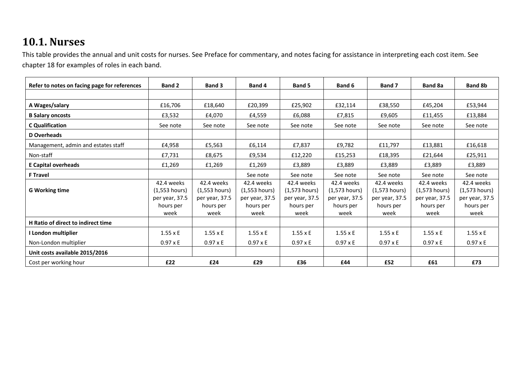# **10.1. Nurses**

This table provides the annual and unit costs for nurses. See Preface for commentary, and notes facing for assistance in interpreting each cost item. See chapter 18 for examples of roles in each band.

| Refer to notes on facing page for references | <b>Band 2</b>   | <b>Band 3</b>   | Band 4          | <b>Band 5</b>   | Band 6          | Band 7          | Band 8a         | <b>Band 8b</b>  |
|----------------------------------------------|-----------------|-----------------|-----------------|-----------------|-----------------|-----------------|-----------------|-----------------|
|                                              |                 |                 |                 |                 |                 |                 |                 |                 |
| A Wages/salary                               | £16,706         | £18,640         | £20,399         | £25,902         | £32,114         | £38,550         | £45,204         | £53,944         |
| <b>B Salary oncosts</b>                      | £3,532          | £4,070          | £4,559          | £6,088          | £7,815          | £9,605          | £11,455         | £13,884         |
| C Qualification                              | See note        | See note        | See note        | See note        | See note        | See note        | See note        | See note        |
| D Overheads                                  |                 |                 |                 |                 |                 |                 |                 |                 |
| Management, admin and estates staff          | £4,958          | £5,563          | £6,114          | £7,837          | £9,782          | £11,797         | £13,881         | £16,618         |
| Non-staff                                    | £7,731          | £8,675          | £9,534          | £12,220         | £15,253         | £18,395         | £21,644         | £25,911         |
| <b>E Capital overheads</b>                   | £1,269          | £1,269          | £1,269          | £3,889          | £3,889          | £3,889          | £3,889          | £3,889          |
| <b>F Travel</b>                              |                 |                 | See note        | See note        | See note        | See note        | See note        | See note        |
|                                              | 42.4 weeks      | 42.4 weeks      | 42.4 weeks      | 42.4 weeks      | 42.4 weeks      | 42.4 weeks      | 42.4 weeks      | 42.4 weeks      |
| <b>G Working time</b>                        | $(1,553$ hours) | $(1,553$ hours) | $(1,553$ hours) | $(1,573$ hours) | $(1,573$ hours) | $(1,573$ hours) | $(1,573$ hours) | $(1,573$ hours) |
|                                              | per year, 37.5  | per year, 37.5  | per year, 37.5  | per year, 37.5  | per year, 37.5  | per year, 37.5  | per year, 37.5  | per year, 37.5  |
|                                              | hours per       | hours per       | hours per       | hours per       | hours per       | hours per       | hours per       | hours per       |
|                                              | week            | week            | week            | week            | week            | week            | week            | week            |
| H Ratio of direct to indirect time           |                 |                 |                 |                 |                 |                 |                 |                 |
| I London multiplier                          | $1.55 \times E$ | $1.55 \times E$ | $1.55 \times E$ | $1.55 \times E$ | $1.55 \times E$ | $1.55 \times E$ | $1.55 \times E$ | $1.55 \times E$ |
| Non-London multiplier                        | $0.97 \times E$ | $0.97 \times E$ | $0.97 \times E$ | $0.97 \times E$ | $0.97 \times E$ | $0.97 \times E$ | $0.97 \times E$ | $0.97 \times E$ |
| Unit costs available 2015/2016               |                 |                 |                 |                 |                 |                 |                 |                 |
| Cost per working hour                        | £22             | £24             | £29             | £36             | £44             | £52             | £61             | £73             |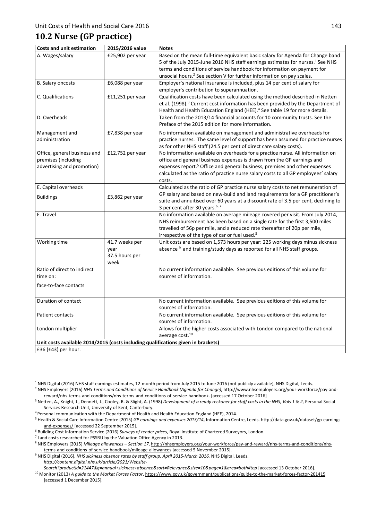### **10.2 Nurse (GP practice)**

| <b>Costs and unit estimation</b>                                                  | 2015/2016 value                                  | <b>Notes</b>                                                                                                                                                                                                                                                                                                                                       |
|-----------------------------------------------------------------------------------|--------------------------------------------------|----------------------------------------------------------------------------------------------------------------------------------------------------------------------------------------------------------------------------------------------------------------------------------------------------------------------------------------------------|
| A. Wages/salary                                                                   | £25,902 per year                                 | Based on the mean full-time equivalent basic salary for Agenda for Change band<br>5 of the July 2015-June 2016 NHS staff earnings estimates for nurses. <sup>1</sup> See NHS<br>terms and conditions of service handbook for information on payment for<br>unsocial hours. <sup>2</sup> See section V for further information on pay scales.       |
| <b>B. Salary oncosts</b>                                                          | £6,088 per year                                  | Employer's national insurance is included, plus 14 per cent of salary for<br>employer's contribution to superannuation.                                                                                                                                                                                                                            |
| C. Qualifications                                                                 | £11,251 per year                                 | Qualification costs have been calculated using the method described in Netten<br>et al. (1998). <sup>3</sup> Current cost information has been provided by the Department of<br>Health and Health Education England (HEE). <sup>4</sup> See table 19 for more details.                                                                             |
| D. Overheads                                                                      |                                                  | Taken from the 2013/14 financial accounts for 10 community trusts. See the<br>Preface of the 2015 edition for more information.                                                                                                                                                                                                                    |
| Management and<br>administration                                                  | £7,838 per year                                  | No information available on management and administrative overheads for<br>practice nurses. The same level of support has been assumed for practice nurses<br>as for other NHS staff (24.5 per cent of direct care salary costs).                                                                                                                  |
| Office, general business and<br>premises (including<br>advertising and promotion) | £12,752 per year                                 | No information available on overheads for a practice nurse. All information on<br>office and general business expenses is drawn from the GP earnings and<br>expenses report. <sup>5</sup> Office and general business, premises and other expenses<br>calculated as the ratio of practice nurse salary costs to all GP employees' salary<br>costs. |
| E. Capital overheads<br><b>Buildings</b>                                          | £3,862 per year                                  | Calculated as the ratio of GP practice nurse salary costs to net remuneration of<br>GP salary and based on new-build and land requirements for a GP practitioner's<br>suite and annuitised over 60 years at a discount rate of 3.5 per cent, declining to<br>3 per cent after 30 years. <sup>6, 7</sup>                                            |
| F. Travel                                                                         |                                                  | No information available on average mileage covered per visit. From July 2014,<br>NHS reimbursement has been based on a single rate for the first 3,500 miles<br>travelled of 56p per mile, and a reduced rate thereafter of 20p per mile,<br>irrespective of the type of car or fuel used. <sup>8</sup>                                           |
| Working time                                                                      | 41.7 weeks per<br>year<br>37.5 hours per<br>week | Unit costs are based on 1,573 hours per year: 225 working days minus sickness<br>absence <sup>9</sup> and training/study days as reported for all NHS staff groups.                                                                                                                                                                                |
| Ratio of direct to indirect<br>time on:<br>face-to-face contacts                  |                                                  | No current information available. See previous editions of this volume for<br>sources of information.                                                                                                                                                                                                                                              |
| Duration of contact                                                               |                                                  | No current information available. See previous editions of this volume for<br>sources of information.                                                                                                                                                                                                                                              |
| <b>Patient contacts</b>                                                           |                                                  | No current information available. See previous editions of this volume for<br>sources of information.                                                                                                                                                                                                                                              |
| London multiplier                                                                 |                                                  | Allows for the higher costs associated with London compared to the national<br>average cost. <sup>10</sup>                                                                                                                                                                                                                                         |
| Unit costs available 2014/2015 (costs including qualifications given in brackets) |                                                  |                                                                                                                                                                                                                                                                                                                                                    |
| £36 (£43) per hour.                                                               |                                                  |                                                                                                                                                                                                                                                                                                                                                    |

<sup>1</sup> NHS Digital (2016) NHS staff earnings estimates, 12-month period from July 2015 to June 2016 (not publicly available), NHS Digital, Leeds.

2 NHS Employers (2016) *NHS Terms and Conditions of Service Handbook (Agenda for Change)*, http://www.nhsemployers.org/your-workforce/pay-andreward/nhs-terms-and-conditions/nhs-terms-and-conditions-of-service-handbook. [accessed 17 October 2016] 3

<sup>3</sup> Netten, A., Knight, J., Dennett, J., Cooley, R. & Slight, A. (1998) *Development of a ready reckoner for staff costs in the NHS, Vols 1 & 2*, Personal Social Services Research Unit, University of Kent, Canterbury.<br><sup>4</sup> Personal communication with the Department of Health and Health Education England (HEE), 2014.

<sup>5</sup> Health & Social Care Information Centre (2015) *GP earnings and expenses 2013/14*, Information Centre, Leeds. http://data.gov.uk/dataset/gp-earningsand-expenses/ [accessed 22 September 2015].

<sup>6</sup> Building Cost Information Service (2016) *Surveys of tender prices*, Royal Institute of Chartered Surveyors, London.

Land costs researched for PSSRU by the Valuation Office Agency in 2013.

8 NHS Employers (2015) *Mileage allowances – Section 17*, http://nhsemployers.org/your-workforce/pay-and-reward/nhs-terms-and-conditions/nhsterms-and-conditions-of-service-handbook/mileage-allowances [accessed 5 November 2015].

<sup>9</sup> NHS Digital (2016), *NHS sickness absence rates by staff group, April 2015-March 2016*, NHS Digital, Leeds. *http://content.digital.nhs.uk/article/2021/Website-*

Search?productid=21447&q=annual+sickness+absence&sort=Relevance&size=10&page=1&area=both#top [accessed 13 October 2016].<br><sup>10</sup> Monitor (2013) A guide to the Market Forces Factor, https://www.gov.uk/government/publications/g [accessed 1 December 2015].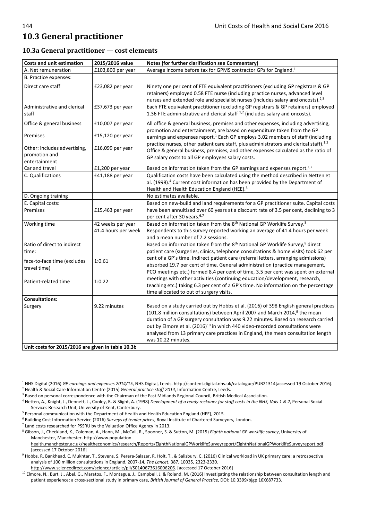## **10.3 General practitioner**

#### **10.3a General practitioner — cost elements**

| <b>Costs and unit estimation</b>                                                    | 2015/2016 value                          | Notes (for further clarification see Commentary)                                                                                                                                                                                                                                                                                                                                                                                                                          |
|-------------------------------------------------------------------------------------|------------------------------------------|---------------------------------------------------------------------------------------------------------------------------------------------------------------------------------------------------------------------------------------------------------------------------------------------------------------------------------------------------------------------------------------------------------------------------------------------------------------------------|
| A. Net remuneration                                                                 | £103,800 per year                        | Average income before tax for GPMS contractor GPs for England. <sup>1</sup>                                                                                                                                                                                                                                                                                                                                                                                               |
| B. Practice expenses:                                                               |                                          |                                                                                                                                                                                                                                                                                                                                                                                                                                                                           |
| Direct care staff<br>Administrative and clerical<br>staff                           | $£23,082$ per year<br>£37,673 per year   | Ninety one per cent of FTE equivalent practitioners (excluding GP registrars & GP<br>retainers) employed 0.58 FTE nurse (including practice nurses, advanced level<br>nurses and extended role and specialist nurses (includes salary and oncosts). <sup>2,3</sup><br>Each FTE equivalent practitioner (excluding GP registrars & GP retainers) employed<br>1.36 FTE administrative and clerical staff <sup>1,2</sup> (includes salary and oncosts).                      |
| Office & general business                                                           | £10,007 per year                         | All office & general business, premises and other expenses, including advertising,<br>promotion and entertainment, are based on expenditure taken from the GP                                                                                                                                                                                                                                                                                                             |
| Premises                                                                            | $£15,120$ per year                       | earnings and expenses report. <sup>1</sup> Each GP employs 3.02 members of staff (including                                                                                                                                                                                                                                                                                                                                                                               |
| Other: includes advertising,<br>promotion and<br>entertainment                      | £16,099 per year                         | practice nurses, other patient care staff, plus administrators and clerical staff). <sup>1,2</sup><br>Office & general business, premises, and other expenses calculated as the ratio of<br>GP salary costs to all GP employees salary costs.                                                                                                                                                                                                                             |
| Car and travel                                                                      | £1,200 per year                          | Based on information taken from the GP earnings and expenses report. <sup>1,2</sup>                                                                                                                                                                                                                                                                                                                                                                                       |
| C. Qualifications                                                                   | £41,188 per year                         | Qualification costs have been calculated using the method described in Netten et<br>al. (1998). <sup>4</sup> Current cost information has been provided by the Department of<br>Health and Health Education England (HEE). <sup>5</sup>                                                                                                                                                                                                                                   |
| D. Ongoing training                                                                 |                                          | No estimates available.                                                                                                                                                                                                                                                                                                                                                                                                                                                   |
| E. Capital costs:<br>Premises                                                       | £15,463 per year                         | Based on new-build and land requirements for a GP practitioner suite. Capital costs<br>have been annuitised over 60 years at a discount rate of 3.5 per cent, declining to 3<br>per cent after 30 years. <sup>6,7</sup>                                                                                                                                                                                                                                                   |
| Working time                                                                        | 42 weeks per year<br>41.4 hours per week | Based on information taken from the 8 <sup>th</sup> National GP Worklife Survey. <sup>8</sup><br>Respondents to this survey reported working an average of 41.4 hours per week<br>and a mean number of 7.2 sessions.                                                                                                                                                                                                                                                      |
| Ratio of direct to indirect<br>time:<br>face-to-face time (excludes<br>travel time) | 1:0.61                                   | Based on information taken from the 8 <sup>th</sup> National GP Worklife Survey, <sup>8</sup> direct<br>patient care (surgeries, clinics, telephone consultations & home visits) took 62 per<br>cent of a GP's time. Indirect patient care (referral letters, arranging admissions)<br>absorbed 19.7 per cent of time. General administration (practice management,<br>PCO meetings etc.) formed 8.4 per cent of time, 3.5 per cent was spent on external                 |
| Patient-related time                                                                | 1:0.22                                   | meetings with other activities (continuing education/development, research,<br>teaching etc.) taking 6.3 per cent of a GP's time. No information on the percentage<br>time allocated to out of surgery visits.                                                                                                                                                                                                                                                            |
| <b>Consultations:</b>                                                               |                                          |                                                                                                                                                                                                                                                                                                                                                                                                                                                                           |
| Surgery                                                                             | 9.22 minutes                             | Based on a study carried out by Hobbs et al. (2016) of 398 English general practices<br>(101.8 million consultations) between April 2007 and March 2014, <sup>9</sup> the mean<br>duration of a GP surgery consultation was 9.22 minutes. Based on research carried<br>out by Elmore et al. (2016) <sup>10</sup> in which 440 video-recorded consultations were<br>analysed from 13 primary care practices in England, the mean consultation length<br>was 10.22 minutes. |
| Unit costs for 2015/2016 are given in table 10.3b                                   |                                          |                                                                                                                                                                                                                                                                                                                                                                                                                                                                           |

<sup>1</sup> NHS Digital (2016) *GP earnings and expenses 2014/15*, NHS Digital, Leeds. <u>http://content.digital.nhs.uk/catalogue/PUB21314</u>[accessed 19 October 2016].<br><sup>2</sup> Health & Social Care Information Centre (2015) *General pract* <sup>2</sup> Health & Social Care Information Centre (2015) *General practice staff 2014*, Information Centre, Leeds.

<sup>3</sup> Based on personal correspondence with the Chairman of the East Midlands Regional Council, British Medical Association.

 Netten, A., Knight, J., Dennett, J., Cooley, R. & Slight, A. (1998) *Development of a ready reckoner for staff costs in the NHS, Vols 1 & 2*, Personal Social Services Research Unit, University of Kent, Canterbury.

 $5$  Personal communication with the Department of Health and Health Education England (HEE), 2015.

<sup>6</sup> Building Cost Information Service (2016) *Surveys of tender prices*, Royal Institute of Chartered Surveyors, London.<br><sup>7</sup> Land costs researched for PSSRU by the Valuation Office Agency in 2013.

8 Gibson, J., Checkland, K., Coleman, A., Hann, M., McCall, R., Spooner, S. & Sutton, M. (2015) *Eighth national GP worklife survey*, University of Manchester, Manchester. http://www.population-

health.manchester.ac.uk/healtheconomics/research/Reports/EighthNationalGPWorklifeSurveyreport/EighthNationalGPWorklifeSurveyreport.pdf.

[accessed 17 October 2016] 9 Hobbs, R. Bankhead, C. Mukhtar, T., Stevens, S. Perera-Salazar, R. Holt, T., & Salisbury, C. (2016) Clinical workload in UK primary care: a retrospective analysis of 100 million consultations in England, 2007-14, *The Lancet*, 387, 10035, 2323-2330.

http://www.sciencedirect.com/science/article/pii/S0140673616006206. [accessed 17 October 2016]<br><sup>10</sup> Elmore, N., Burt, J., Abel, G., Maratos, F., Montague, J., Campbell, J. & Roland, M. (2016) Investigating the relationship patient experience: a cross-sectional study in primary care, *British Journal of General Practice*, DOI: 10.3399/bjgp 16X687733.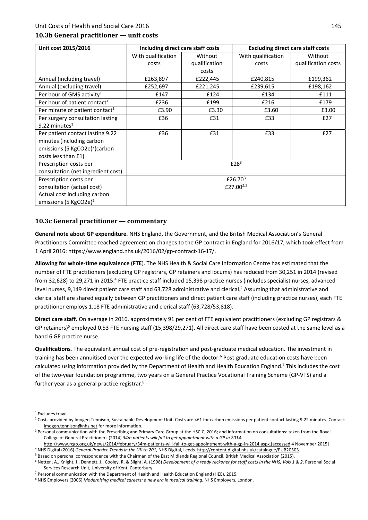#### **10.3b General practitioner — unit costs**

| Unit cost 2015/2016                        | Including direct care staff costs |               | <b>Excluding direct care staff costs</b> |                     |  |
|--------------------------------------------|-----------------------------------|---------------|------------------------------------------|---------------------|--|
|                                            | With qualification                | Without       | With qualification                       | Without             |  |
|                                            | costs                             | qualification | costs                                    | qualification costs |  |
|                                            |                                   | costs         |                                          |                     |  |
| Annual (including travel)                  | £263,897                          | £222,445      | £240,815                                 | £199,362            |  |
| Annual (excluding travel)                  | £252,697                          | £221,245      | £239,615                                 | £198,162            |  |
| Per hour of GMS activity <sup>1</sup>      | £147                              | £124          | £134                                     | £111                |  |
| Per hour of patient contact <sup>1</sup>   | £236                              | £199          | £216                                     | £179                |  |
| Per minute of patient contact <sup>1</sup> | £3.90                             | £3.30         | £3.60                                    | £3.00               |  |
| Per surgery consultation lasting           | £36                               | £31           | £33                                      | E27                 |  |
| 9.22 minutes $1$                           |                                   |               |                                          |                     |  |
| Per patient contact lasting 9.22           | £36                               | £31           | £33                                      | £27                 |  |
| minutes (including carbon                  |                                   |               |                                          |                     |  |
| emissions (5 KgCO2e) <sup>2</sup> (carbon  |                                   |               |                                          |                     |  |
| costs less than £1)                        |                                   |               |                                          |                     |  |
| Prescription costs per                     |                                   |               | £28 <sup>3</sup>                         |                     |  |
| consultation (net ingredient cost)         |                                   |               |                                          |                     |  |
| Prescription costs per                     |                                   |               | £26.70 $3$                               |                     |  |
| consultation (actual cost)                 | £27.00 $2,3$                      |               |                                          |                     |  |
| Actual cost including carbon               |                                   |               |                                          |                     |  |
| emissions (5 KgCO2e) <sup>2</sup>          |                                   |               |                                          |                     |  |

#### **10.3c General practitioner — commentary**

**General note about GP expenditure***.* NHS England, the Government, and the British Medical Association's General Practitioners Committee reached agreement on changes to the GP contract in England for 2016/17, which took effect from 1 April 2016: https://www.england.nhs.uk/2016/02/gp-contract-16-17/.

**Allowing for whole-time equivalence (FTE**). The NHS Health & Social Care Information Centre has estimated that the number of FTE practitioners (excluding GP registrars, GP retainers and locums) has reduced from 30,251 in 2014 (revised from 32,628) to 29,271 in 2015.<sup>4</sup> FTE practice staff included 15,398 practice nurses (includes specialist nurses, advanced level nurses, 9,149 direct patient care staff and 63,728 administrative and clerical.<sup>2</sup> Assuming that administrative and clerical staff are shared equally between GP practitioners and direct patient care staff (including practice nurses), each FTE practitioner employs 1.18 FTE administrative and clerical staff (63,728/53,818).

**Direct care staff***.* On average in 2016, approximately 91 per cent of FTE equivalent practitioners (excluding GP registrars & GP retainers)<sup>5</sup> employed 0.53 FTE nursing staff (15,398/29,271). All direct care staff have been costed at the same level as a band 6 GP practice nurse.

**Qualifications***.* The equivalent annual cost of pre-registration and post-graduate medical education. The investment in training has been annuitised over the expected working life of the doctor.<sup>6</sup> Post-graduate education costs have been calculated using information provided by the Department of Health and Health Education England.<sup>7</sup> This includes the cost of the two-year foundation programme, two years on a General Practice Vocational Training Scheme (GP-VTS) and a further year as a general practice registrar.<sup>8</sup>

<sup>1</sup> Excludes travel.

<sup>&</sup>lt;sup>2</sup> Costs provided by Imogen Tennison, Sustainable Development Unit. Costs are <£1 for carbon emissions per patient contact lasting 9.22 minutes. Contact: Imogen.tennison@nhs.net for more information.

<sup>&</sup>lt;sup>3</sup> Personal communication with the Prescribing and Primary Care Group at the HSCIC, 2016; and information on consultations: taken from the Royal College of General Practitioners (2014) *34m patients will fail to get appointment with a GP in 2014*.

http://www.rcgp.org.uk/news/2014/february/34m-patients-will-fail-to-get-appointment-with-a-gp-in-2014.aspx.[accessed 4 November 2015]<br>4 NHS Digital (2016) General Practice Trends in the UK to 201. NHS Digital Leeds, http:/ <sup>4</sup> NHS Digital (2016) *General Practice Trends in the UK to 201,* NHS Digital, Leeds. <u>http://content.digital.nhs.uk/catalogue/PUB20503</u>.<br><sup>5</sup> Based en nersonal cerrospondence with the Chairman of the East Midlands Beginna

<sup>&</sup>lt;sup>5</sup> Based on personal correspondence with the Chairman of the East Midlands Regional Council, British Medical Association (2015).

<sup>&</sup>lt;sup>6</sup> Netten, A., Knight, J., Dennett, J., Cooley, R. & Slight, A. (1998) *Development of a ready reckoner for staff costs in the NHS, Vols 1 & 2*, Personal Social Services Research Unit, University of Kent, Canterbury. 7

<sup>&</sup>lt;sup>7</sup> Personal communication with the Department of Health and Health Education England (HEE), 2015.

NHS Employers (2006) *Modernising medical careers: a new era in medical training*, NHS Employers, London.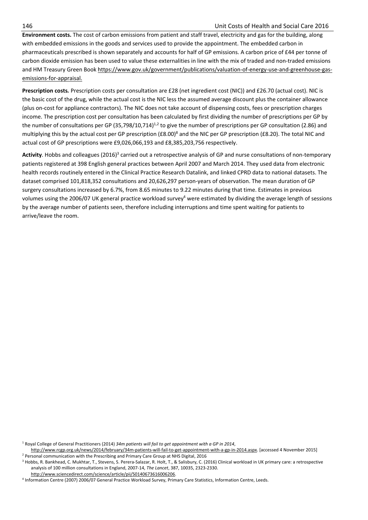**Environment costs.** The cost of carbon emissions from patient and staff travel, electricity and gas for the building, along with embedded emissions in the goods and services used to provide the appointment. The embedded carbon in pharmaceuticals prescribed is shown separately and accounts for half of GP emissions. A carbon price of £44 per tonne of carbon dioxide emission has been used to value these externalities in line with the mix of traded and non-traded emissions and HM Treasury Green Book https://www.gov.uk/government/publications/valuation-of-energy-use-and-greenhouse-gasemissions-for-appraisal.

**Prescription costs***.* Prescription costs per consultation are £28 (net ingredient cost (NIC)) and £26.70 (actual cost). NIC is the basic cost of the drug, while the actual cost is the NIC less the assumed average discount plus the container allowance (plus on-cost for appliance contractors). The NIC does not take account of dispensing costs, fees or prescription charges income. The prescription cost per consultation has been calculated by first dividing the number of prescriptions per GP by the number of consultations per GP  $(35,798/10,714)^{1,2}$  to give the number of prescriptions per GP consultation (2.86) and multiplying this by the actual cost per GP prescription (£8.00)<sup>8</sup> and the NIC per GP prescription (£8.20). The total NIC and actual cost of GP prescriptions were £9,026,066,193 and £8,385,203,756 respectively.

Activity. Hobbs and colleagues (2016)<sup>3</sup> carried out a retrospective analysis of GP and nurse consultations of non-temporary patients registered at 398 English general practices between April 2007 and March 2014. They used data from electronic health records routinely entered in the Clinical Practice Research Datalink, and linked CPRD data to national datasets. The dataset comprised 101,818,352 consultations and 20,626,297 person-years of observation. The mean duration of GP surgery consultations increased by 6.7%, from 8.65 minutes to 9.22 minutes during that time. Estimates in previous volumes using the 2006/07 UK general practice workload survey<sup>4</sup> were estimated by dividing the average length of sessions by the average number of patients seen, therefore including interruptions and time spent waiting for patients to arrive/leave the room.

1 Royal College of General Practitioners (2014) *34m patients will fail to get appointment with a GP in 2014*,

http://www.rcgp.org.uk/news/2014/february/34m-patients-will-fail-to-get-appointment-with-a-gp-in-2014.aspx. [accessed 4 November 2015] 2 <sup>2</sup> Personal communication with the Prescribing and Primary Care Group at NHS Digital, 2016

<sup>&</sup>lt;sup>3</sup> Hobbs, R. Bankhead, C. Mukhtar, T., Stevens, S. Perera-Salazar, R. Holt, T., & Salisbury, C. (2016) Clinical workload in UK primary care: a retrospective analysis of 100 million consultations in England, 2007-14, *The Lancet*, 387, 10035, 2323-2330. http://www.sciencedirect.com/science/article/pii/S0140673616006206.

Information Centre (2007) 2006/07 General Practice Workload Survey, Primary Care Statistics, Information Centre, Leeds.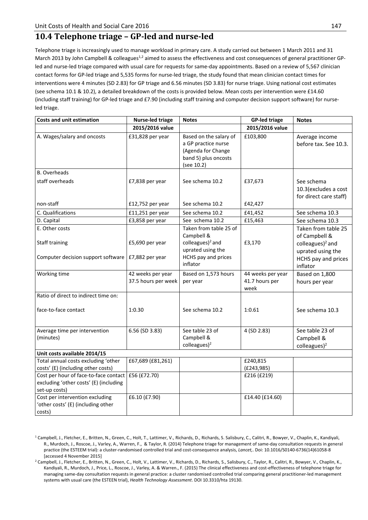### **10.4 Telephone triage – GP-led and nurse-led**

Telephone triage is increasingly used to manage workload in primary care. A study carried out between 1 March 2011 and 31 March 2013 by John Campbell & colleagues<sup>1,2</sup> aimed to assess the effectiveness and cost consequences of general practitioner GPled and nurse-led triage compared with usual care for requests for same-day appointments. Based on a review of 5,567 clinician contact forms for GP-led triage and 5,535 forms for nurse-led triage, the study found that mean clinician contact times for interventions were 4 minutes (SD 2.83) for GP triage and 6.56 minutes (SD 3.83) for nurse triage. Using national cost estimates (see schema 10.1 & 10.2), a detailed breakdown of the costs is provided below. Mean costs per intervention were £14.60 (including staff training) for GP-led triage and £7.90 (including staff training and computer decision support software) for nurseled triage.

| <b>Costs and unit estimation</b>                                                                              | <b>Nurse-led triage</b>                  | <b>Notes</b>                                                                                                         | <b>GP-led triage</b>                        | <b>Notes</b>                                                                                                                 |
|---------------------------------------------------------------------------------------------------------------|------------------------------------------|----------------------------------------------------------------------------------------------------------------------|---------------------------------------------|------------------------------------------------------------------------------------------------------------------------------|
|                                                                                                               | 2015/2016 value                          |                                                                                                                      | 2015/2016 value                             |                                                                                                                              |
| A. Wages/salary and oncosts                                                                                   | £31,828 per year                         | Based on the salary of<br>a GP practice nurse<br>(Agenda for Change<br>band 5) plus oncosts<br>(see 10.2)            | £103,800                                    | Average income<br>before tax. See 10.3.                                                                                      |
| <b>B.</b> Overheads                                                                                           |                                          |                                                                                                                      |                                             |                                                                                                                              |
| staff overheads                                                                                               | £7,838 per year                          | See schema 10.2                                                                                                      | £37,673                                     | See schema<br>10.3 (excludes a cost<br>for direct care staff)                                                                |
| non-staff                                                                                                     | £12,752 per year                         | See schema 10.2                                                                                                      | £42,427                                     |                                                                                                                              |
| C. Qualifications                                                                                             | £11,251 per year                         | See schema 10.2                                                                                                      | £41,452                                     | See schema 10.3                                                                                                              |
| D. Capital                                                                                                    | £3,858 per year                          | See schema 10.2                                                                                                      | £15,463                                     | See schema 10.3                                                                                                              |
| E. Other costs<br><b>Staff training</b><br>Computer decision support software $\vert$ £7,882 per year         | £5,690 per year                          | Taken from table 25 of<br>Campbell &<br>colleagues) $^2$ and<br>uprated using the<br>HCHS pay and prices<br>inflator | £3,170                                      | Taken from table 25<br>of Campbell &<br>colleagues) <sup>2</sup> and<br>uprated using the<br>HCHS pay and prices<br>inflator |
| Working time                                                                                                  | 42 weeks per year<br>37.5 hours per week | Based on 1,573 hours<br>per year                                                                                     | 44 weeks per year<br>41.7 hours per<br>week | Based on 1,800<br>hours per year                                                                                             |
| Ratio of direct to indirect time on:<br>face-to-face contact                                                  | 1:0.30                                   | See schema 10.2                                                                                                      | 1:0.61                                      | See schema 10.3                                                                                                              |
| Average time per intervention<br>(minutes)                                                                    | 6.56 (SD 3.83)                           | See table 23 of<br>Campbell &<br>colleagues) $2$                                                                     | 4 (SD 2.83)                                 | See table 23 of<br>Campbell &<br>$colleagues$ <sup>2</sup>                                                                   |
| Unit costs available 2014/15                                                                                  |                                          |                                                                                                                      |                                             |                                                                                                                              |
| Total annual costs excluding 'other<br>costs' (E) (including other costs)                                     | £67,689 (£81,261)                        |                                                                                                                      | £240,815<br>(E243,985)                      |                                                                                                                              |
| Cost per hour of face-to-face contact £56 (£72.70)<br>excluding 'other costs' (E) (including<br>set-up costs) |                                          |                                                                                                                      | £216 (£219)                                 |                                                                                                                              |
| Cost per intervention excluding<br>'other costs' (E) (including other<br>costs)                               | £6.10 (£7.90)                            |                                                                                                                      | £14.40 (£14.60)                             |                                                                                                                              |

<sup>&</sup>lt;sup>1</sup> Campbell, J., Fletcher, E., Britten, N., Green, C., Holt, T., Lattimer, V., Richards, D., Richards, S. Salisbury, C., Calitri, R., Bowyer, V., Chaplin, K., Kandiyali, R., Murdoch, J., Roscoe, J., Varley, A., Warren, F., & Taylor, R. (2014) Telephone triage for management of same-day consultation requests in general practice (the ESTEEM trial): a cluster-randomised controlled trial and cost-consequence analysis, *Lancet,*. Doi: 10.1016/S0140-6736(14)61058-8 [accessed 4 November 2015] 2 Campbell, J., Fletcher, E., Britten, N., Green, C., Holt, V., Lattimer, V., Richards, D., Richards, S., Salisbury, C., Taylor, R., Calitri, R., Bowyer, V., Chaplin, K.,

Kandiyali, R., Murdoch, J., Price, L., Roscoe, J., Varley, A. & Warren., F. (2015) The clinical effectiveness and cost-effectiveness of telephone triage for managing same-day consultation requests in general practice: a cluster randomised controlled trial comparing general practitioner-led management systems with usual care (the ESTEEN trial), *Health Technology Assessment*. DOI 10.3310/hta 19130.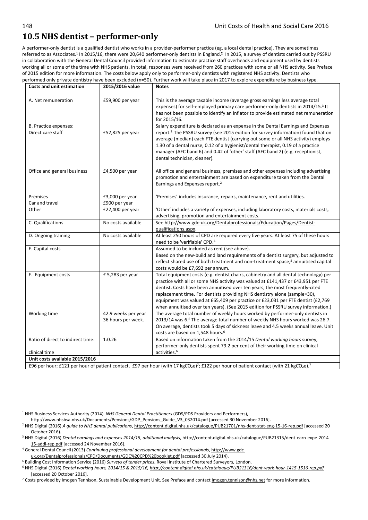### **10.5 NHS dentist – performer-only**

A performer-only dentist is a qualified dentist who works in a provider-performer practice (eg. a local dental practice). They are sometimes referred to as Associates.1 In 2015/16, there were 20,640 performer-only dentists in England.**<sup>2</sup>** In 2015, a survey of dentists carried out by PSSRU in collaboration with the General Dental Council provided information to estimate practice staff overheads and equipment used by dentists working all or some of the time with NHS patients. In total, responses were received from 260 practices with some or all NHS activity. See Preface of 2015 edition for more information. The costs below apply only to performer-only dentists with registered NHS activity. Dentists who performed only private dentistry have been excluded (n=50). Further work will take place in 2017 to explore expenditure by business type.

| <b>Costs and unit estimation</b>                | 2015/2016 value                                      | <b>Notes</b>                                                                                                                                                                                                                                                                                                                                                                                                                                                                                                   |  |
|-------------------------------------------------|------------------------------------------------------|----------------------------------------------------------------------------------------------------------------------------------------------------------------------------------------------------------------------------------------------------------------------------------------------------------------------------------------------------------------------------------------------------------------------------------------------------------------------------------------------------------------|--|
| A. Net remuneration                             | £59,900 per year                                     | This is the average taxable income (average gross earnings less average total<br>expenses) for self-employed primary care performer-only dentists in 2014/15.3 It<br>has not been possible to identify an inflator to provide estimated net remuneration<br>for 2015/16.                                                                                                                                                                                                                                       |  |
| B. Practice expenses:<br>Direct care staff      | £52,825 per year                                     | Salary expenditure is declared as an expense in the Dental Earnings and Expenses<br>report. <sup>2</sup> The PSSRU survey (see 2015 edition for survey information) found that on<br>average (median) each FTE dentist (carrying out some or all NHS activity) employs<br>1.30 of a dental nurse, 0.12 of a hygienist/dental therapist, 0.19 of a practice<br>manager (AFC band 6) and 0.42 of 'other' staff (AFC band 2) (e.g. receptionist,<br>dental technician, cleaner).                                  |  |
| Office and general business                     | £4,500 per year                                      | All office and general business, premises and other expenses including advertising<br>promotion and entertainment are based on expenditure taken from the Dental<br>Earnings and Expenses report. <sup>2</sup>                                                                                                                                                                                                                                                                                                 |  |
| Premises<br>Car and travel<br>Other             | £3,000 per year<br>£900 per year<br>£22,400 per year | 'Premises' includes insurance, repairs, maintenance, rent and utilities.<br>'Other' includes a variety of expenses, including laboratory costs, materials costs,                                                                                                                                                                                                                                                                                                                                               |  |
| C. Qualifications                               | No costs available                                   | advertising, promotion and entertainment costs.<br>See http://www.gdc-uk.org/Dentalprofessionals/Education/Pages/Dentist-<br>qualifications.aspx.                                                                                                                                                                                                                                                                                                                                                              |  |
| D. Ongoing training                             | No costs available                                   | At least 250 hours of CPD are required every five years. At least 75 of these hours<br>need to be 'verifiable' CPD. <sup>4</sup>                                                                                                                                                                                                                                                                                                                                                                               |  |
| E. Capital costs                                |                                                      | Assumed to be included as rent (see above).<br>Based on the new-build and land requirements of a dentist surgery, but adjusted to<br>reflect shared use of both treatment and non-treatment space, <sup>5</sup> annuitised capital<br>costs would be £7,692 per annum.                                                                                                                                                                                                                                         |  |
| F. Equipment costs                              | £5,283 per year                                      | Total equipment costs (e.g. dentist chairs, cabinetry and all dental technology) per<br>practice with all or some NHS activity was valued at £141,437 or £43,951 per FTE<br>dentist. Costs have been annuitised over ten years, the most frequently-cited<br>replacement time. For dentists providing NHS dentistry alone (sample=30),<br>equipment was valued at £65,409 per practice or £23,031 per FTE dentist (£2,769<br>when annuitised over ten years). (See 2015 edition for PSSRU survey information.) |  |
| Working time                                    | 42.9 weeks per year<br>36 hours per week.            | The average total number of weekly hours worked by performer-only dentists in<br>2013/14 was 6.6 The average total number of weekly NHS hours worked was 26.7.<br>On average, dentists took 5 days of sickness leave and 4.5 weeks annual leave. Unit<br>costs are based on 1,548 hours. <sup>6</sup>                                                                                                                                                                                                          |  |
| Ratio of direct to indirect time:               | 1:0.26                                               | Based on information taken from the 2014/15 Dental working hours survey,<br>performer-only dentists spent 79.2 per cent of their working time on clinical<br>activities. <sup>6</sup>                                                                                                                                                                                                                                                                                                                          |  |
| clinical time<br>Unit costs available 2015/2016 |                                                      |                                                                                                                                                                                                                                                                                                                                                                                                                                                                                                                |  |
|                                                 |                                                      | £96 per hour; £121 per hour of patient contact, £97 per hour (with 17 kgCO <sub>2</sub> e) <sup>7</sup> ; £122 per hour of patient contact (with 21 kgCO <sub>2</sub> e). <sup>7</sup>                                                                                                                                                                                                                                                                                                                         |  |

1 NHS Business Services Authority (2014) *NHS General Dental Practitioners* (GDS/PDS Providers and Performers),

http://www.nhsbsa.nhs.uk/Documents/Pensions/GDP\_Pensions\_Guide\_V3\_032014.pdf [accessed 30 November 2016].

- <sup>2</sup> NHS Digital (2016) *A guide to NHS dental publications*, http://content.digital.nhs.uk/catalogue/PUB21701/nhs-dent-stat-eng-15-16-rep.pdf [accessed 20
- October 2016). 3 NHS Digital (2016) *Dental earnings and expenses 2014/15*, *additional analysis*, http://content.digital.nhs.uk/catalogue/PUB21315/dent-earn-expe-2014-

15-addi-rep.pdf [accessed 24 November 2016]. 4 General Dental Council (2013) *Continuing professional development for dental professionals*, http://www.gdcuk.org/Dentalprofessionals/CPD/Documents/GDC%20CPD%20booklet.pdf [accessed 30 July 2014).

<sup>5</sup> Building Cost Information Service (2016) Surveys of tender prices, Royal Institute of Chartered Surveyors, London.

<sup>6</sup> NHS Digital (2016) *Dental working hours, 2014/15 & 2015/16, http://content.digital.nhs.uk/catalogue/PUB21316/dent-work-hour-1415-1516-rep.pdf* [accessed 20 October 2016].

<sup>7</sup> Costs provided by Imogen Tennison, Sustainable Development Unit. See Preface and contact Imogen.tennison@nhs.net for more information.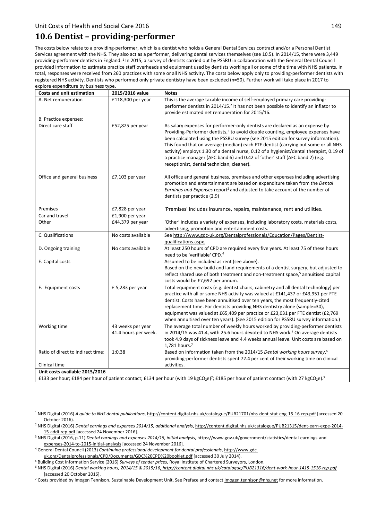### **10.6 Dentist – providing-performer**

The costs below relate to a providing-performer, which is a dentist who holds a General Dental Services contract and/or a Personal Dentist Services agreement with the NHS. They also act as a performer, delivering dental services themselves (see 10.5). In 2014/15, there were 3,449 providing-performer dentists in England. 1 In 2015, a survey of dentists carried out by PSSRU in collaboration with the General Dental Council provided information to estimate practice staff overheads and equipment used by dentists working all or some of the time with NHS patients. In total, responses were received from 260 practices with some or all NHS activity. The costs below apply only to providing-performer dentists with registered NHS activity. Dentists who performed only private dentistry have been excluded (n=50). Further work will take place in 2017 to explore expenditure by business type.

| <b>Costs and unit estimation</b>  | 2015/2016 value                    | <b>Notes</b>                                                                                                                                                                             |  |
|-----------------------------------|------------------------------------|------------------------------------------------------------------------------------------------------------------------------------------------------------------------------------------|--|
| A. Net remuneration               | £118,300 per year                  | This is the average taxable income of self-employed primary care providing-                                                                                                              |  |
|                                   |                                    | performer dentists in 2014/15. <sup>2</sup> It has not been possible to identify an inflator to                                                                                          |  |
|                                   |                                    | provide estimated net remuneration for 2015/16.                                                                                                                                          |  |
| B. Practice expenses:             |                                    |                                                                                                                                                                                          |  |
| Direct care staff                 | $£52,825$ per year                 | As salary expenses for performer-only dentists are declared as an expense by                                                                                                             |  |
|                                   |                                    | Providing-Performer dentists, <sup>3</sup> to avoid double counting, employee expenses have                                                                                              |  |
|                                   |                                    | been calculated using the PSSRU survey (see 2015 edition for survey information).<br>This found that on average (median) each FTE dentist (carrying out some or all NHS                  |  |
|                                   |                                    | activity) employs 1.30 of a dental nurse, 0.12 of a hygienist/dental therapist, 0.19 of                                                                                                  |  |
|                                   |                                    | a practice manager (AFC band 6) and 0.42 of 'other' staff (AFC band 2) (e.g.                                                                                                             |  |
|                                   |                                    | receptionist, dental technician, cleaner).                                                                                                                                               |  |
|                                   |                                    |                                                                                                                                                                                          |  |
| Office and general business       | £7,103 per year                    | All office and general business, premises and other expenses including advertising                                                                                                       |  |
|                                   |                                    | promotion and entertainment are based on expenditure taken from the Dental                                                                                                               |  |
|                                   |                                    | Earnings and Expenses report <sup>2</sup> and adjusted to take account of the number of                                                                                                  |  |
|                                   |                                    | dentists per practice (2.9)                                                                                                                                                              |  |
| Premises                          |                                    |                                                                                                                                                                                          |  |
| Car and travel                    | £7,828 per year<br>£1,900 per year | 'Premises' includes insurance, repairs, maintenance, rent and utilities.                                                                                                                 |  |
| Other                             | £44,379 per year                   | 'Other' includes a variety of expenses, including laboratory costs, materials costs,                                                                                                     |  |
|                                   |                                    | advertising, promotion and entertainment costs.                                                                                                                                          |  |
| C. Qualifications                 | No costs available                 | See http://www.gdc-uk.org/Dentalprofessionals/Education/Pages/Dentist-                                                                                                                   |  |
|                                   |                                    | qualifications.aspx.                                                                                                                                                                     |  |
| D. Ongoing training               | No costs available                 | At least 250 hours of CPD are required every five years. At least 75 of these hours                                                                                                      |  |
|                                   |                                    | need to be 'verifiable' CPD. <sup>4</sup>                                                                                                                                                |  |
| E. Capital costs                  |                                    | Assumed to be included as rent (see above).                                                                                                                                              |  |
|                                   |                                    | Based on the new-build and land requirements of a dentist surgery, but adjusted to                                                                                                       |  |
|                                   |                                    | reflect shared use of both treatment and non-treatment space, <sup>5</sup> annuitised capital                                                                                            |  |
|                                   |                                    | costs would be £7,692 per annum.                                                                                                                                                         |  |
| F. Equipment costs                | $£$ 5,283 per year                 | Total equipment costs (e.g. dentist chairs, cabinetry and all dental technology) per<br>practice with all or some NHS activity was valued at £141,437 or £43,951 per FTE                 |  |
|                                   |                                    | dentist. Costs have been annuitised over ten years, the most frequently-cited                                                                                                            |  |
|                                   |                                    | replacement time. For dentists providing NHS dentistry alone (sample=30),                                                                                                                |  |
|                                   |                                    | equipment was valued at £65,409 per practice or £23,031 per FTE dentist (£2,769                                                                                                          |  |
|                                   |                                    | when annuitised over ten years). (See 2015 edition for PSSRU survey information.)                                                                                                        |  |
| Working time                      | 43 weeks per year                  | The average total number of weekly hours worked by providing-performer dentists                                                                                                          |  |
|                                   | 41.4 hours per week.               | in 2014/15 was 41.4, with 25.6 hours devoted to NHS work.7 On average dentists                                                                                                           |  |
|                                   |                                    | took 4.9 days of sickness leave and 4.4 weeks annual leave. Unit costs are based on                                                                                                      |  |
|                                   |                                    | 1,781 hours. <sup>7</sup>                                                                                                                                                                |  |
| Ratio of direct to indirect time: | 1:0.38                             | Based on information taken from the 2014/15 Dental working hours survey, <sup>6</sup>                                                                                                    |  |
| Clinical time                     |                                    | providing-performer dentists spent 72.4 per cent of their working time on clinical<br>activities.                                                                                        |  |
| Unit costs available 2015/2016    |                                    |                                                                                                                                                                                          |  |
|                                   |                                    | £133 per hour; £184 per hour of patient contact; £134 per hour (with 19 kgCO <sub>2</sub> e) <sup>7</sup> ; £185 per hour of patient contact (with 27 kgCO <sub>2</sub> e). <sup>7</sup> |  |
|                                   |                                    |                                                                                                                                                                                          |  |

1 NHS Digital (2016) *A guide to NHS dental publications*, http://content.digital.nhs.uk/catalogue/PUB21701/nhs-dent-stat-eng-15-16-rep.pdf [accessed 20

- October 2016). 2 NHS Digital (2016) *Dental earnings and expenses 2014/15*, *additional analysis*, http://content.digital.nhs.uk/catalogue/PUB21315/dent-earn-expe-2014-
- 15-addi-rep.pdf [accessed 24 November 2016]. 3 NHS Digital (2016, p.11) *Dental earnings and expenses 2014/15, initial analysis*, https://www.gov.uk/government/statistics/dental-earnings-and-
- expenses-2014-to-2015-initial-analysis [accessed 24 November 2016]. 4 General Dental Council (2013) *Continuing professional development for dental professionals*, http://www.gdc-
- uk.org/Dentalprofessionals/CPD/Documents/GDC%20CPD%20booklet.pdf [accessed 30 July 2014).
- <sup>5</sup> Building Cost Information Service (2016) *Surveys of tender prices*, Royal Institute of Chartered Surveyors, London.

<sup>6</sup> NHS Digital (2016) *Dental working hours, 2014/15 & 2015/16, http://content.digital.nhs.uk/catalogue/PUB21316/dent-work-hour-1415-1516-rep.pdf* [accessed 20 October 2016].

<sup>7</sup> Costs provided by Imogen Tennison, Sustainable Development Unit. See Preface and contact Imogen.tennison@nhs.net for more information.